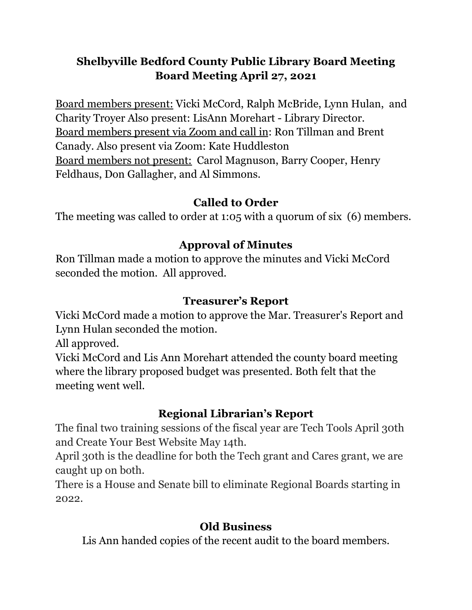# **Shelbyville Bedford County Public Library Board Meeting Board Meeting April 27, 2021**

Board members present: Vicki McCord, Ralph McBride, Lynn Hulan, and Charity Troyer Also present: LisAnn Morehart - Library Director. Board members present via Zoom and call in: Ron Tillman and Brent Canady. Also present via Zoom: Kate Huddleston Board members not present: Carol Magnuson, Barry Cooper, Henry Feldhaus, Don Gallagher, and Al Simmons.

## **Called to Order**

The meeting was called to order at 1:05 with a quorum of six (6) members.

## **Approval of Minutes**

Ron Tillman made a motion to approve the minutes and Vicki McCord seconded the motion. All approved.

### **Treasurer's Report**

Vicki McCord made a motion to approve the Mar. Treasurer's Report and Lynn Hulan seconded the motion.

All approved.

Vicki McCord and Lis Ann Morehart attended the county board meeting where the library proposed budget was presented. Both felt that the meeting went well.

## **Regional Librarian's Report**

The final two training sessions of the fiscal year are Tech Tools April 30th and Create Your Best Website May 14th.

April 30th is the deadline for both the Tech grant and Cares grant, we are caught up on both.

There is a House and Senate bill to eliminate Regional Boards starting in 2022.

## **Old Business**

Lis Ann handed copies of the recent audit to the board members.